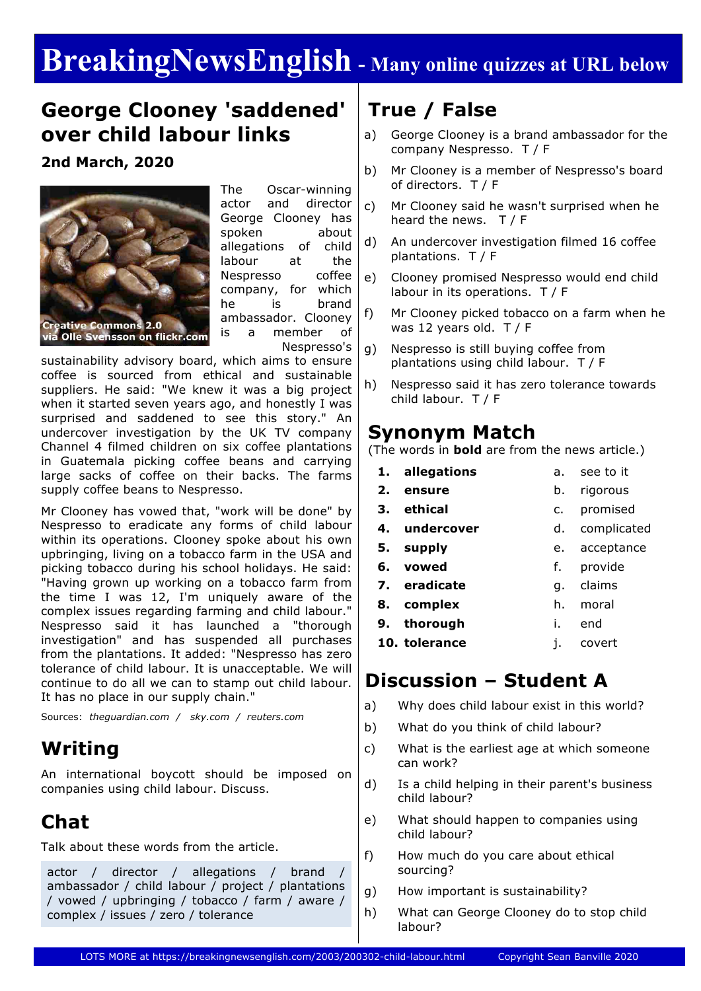# **BreakingNewsEnglish - Many online quizzes at URL below**

### **George Clooney 'saddened' over child labour links**

**2nd March, 2020**



The Oscar-winning actor and director George Clooney has spoken about allegations of child labour at the Nespresso coffee company, for which he is brand ambassador. Clooney is a member of Nespresso's

sustainability advisory board, which aims to ensure coffee is sourced from ethical and sustainable suppliers. He said: "We knew it was a big project when it started seven years ago, and honestly I was surprised and saddened to see this story." An undercover investigation by the UK TV company Channel 4 filmed children on six coffee plantations in Guatemala picking coffee beans and carrying large sacks of coffee on their backs. The farms supply coffee beans to Nespresso.

Mr Clooney has vowed that, "work will be done" by Nespresso to eradicate any forms of child labour within its operations. Clooney spoke about his own upbringing, living on a tobacco farm in the USA and picking tobacco during his school holidays. He said: "Having grown up working on a tobacco farm from the time I was 12, I'm uniquely aware of the complex issues regarding farming and child labour." Nespresso said it has launched a "thorough investigation" and has suspended all purchases from the plantations. It added: "Nespresso has zero tolerance of child labour. It is unacceptable. We will continue to do all we can to stamp out child labour. It has no place in our supply chain."

Sources: *theguardian.com / sky.com / reuters.com*

### **Writing**

An international boycott should be imposed on companies using child labour. Discuss.

# **Chat**

Talk about these words from the article.

actor / director / allegations / brand ambassador / child labour / project / plantations / vowed / upbringing / tobacco / farm / aware / complex / issues / zero / tolerance

# **True / False**

- a) George Clooney is a brand ambassador for the company Nespresso. T / F
- b) Mr Clooney is a member of Nespresso's board of directors. T / F
- c) Mr Clooney said he wasn't surprised when he heard the news.  $T / F$
- d) An undercover investigation filmed 16 coffee plantations. T / F
- e) Clooney promised Nespresso would end child labour in its operations. T / F
- f) Mr Clooney picked tobacco on a farm when he was 12 years old. T / F
- g) Nespresso is still buying coffee from plantations using child labour. T / F
- h) Nespresso said it has zero tolerance towards child labour. T / F

### **Synonym Match**

(The words in **bold** are from the news article.)

- **1. allegations** a. see to it
- **2. ensure** b. rigorous
- **3. ethical**
	- c. promised

d. complicated

- **4. undercover**
- **5. supply** e. acceptance
- **6. vowed** f. provide
- **7. eradicate** g. claims
- **8. complex** h. moral
- **9. thorough** i. end
- **10. tolerance** j. covert

### **Discussion – Student A**

- a) Why does child labour exist in this world?
- b) What do you think of child labour?
- c) What is the earliest age at which someone can work?
- d) Is a child helping in their parent's business child labour?
- e) What should happen to companies using child labour?
- f) How much do you care about ethical sourcing?
- g) How important is sustainability?
- h) What can George Clooney do to stop child labour?